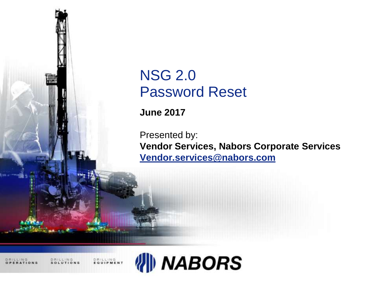

## NSG 2.0 Password Reset

**June 2017**

Presented by: **Vendor Services, Nabors Corporate Services [Vendor.services@nabors.com](mailto:Vendor.services@nabors.com)**

DRILLING

**DRILLING**<br>FOUIPMENT

DRILLING

**NABORS**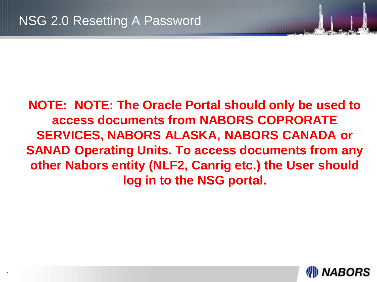**NOTE: NOTE: The Oracle Portal should only be used to access documents from NABORS COPRORATE SERVICES, NABORS ALASKA, NABORS CANADA or SANAD Operating Units. To access documents from any other Nabors entity (NLF2, Canrig etc.) the User should log in to the NSG portal.**

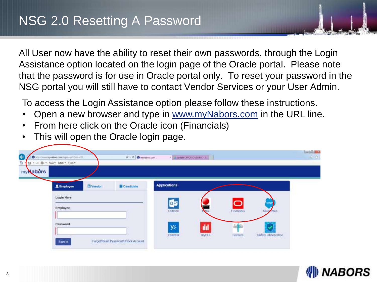All User now have the ability to reset their own passwords, through the Login Assistance option located on the login page of the Oracle portal. Please note that the password is for use in Oracle portal only. To reset your password in the NSG portal you will still have to contact Vendor Services or your User Admin.

To access the Login Assistance option please follow these instructions.

- Open a new browser and type in [www.myNabors.com](http://www.mynabors.com/) in the URL line.
- From here click on the Oracle icon (Financials)
- This will open the Oracle login page.



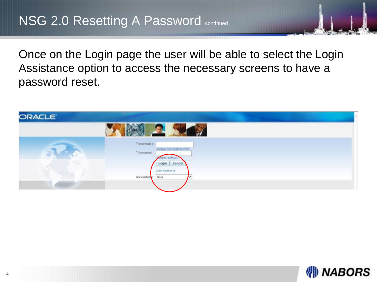Once on the Login page the user will be able to select the Login Assistance option to access the necessary screens to have a password reset.



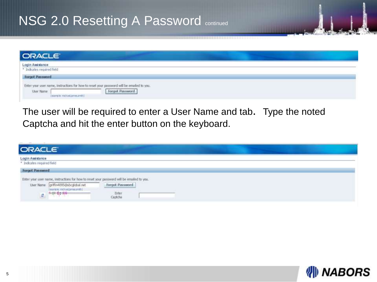## NSG 2.0 Resetting A Password continued

| <b>ORACLE</b>                                                                                                                                                                                                                           |  |
|-----------------------------------------------------------------------------------------------------------------------------------------------------------------------------------------------------------------------------------------|--|
| Login Assistance<br>* Indicates required field<br><b>Forgot Password</b><br>Enter your user name, instructions for how to reset your password will be emailed to you.<br>Forgot Password<br>User Name<br>Texample! michael.james.anger} |  |

The user will be required to enter a User Name and tab. Type the noted Captcha and hit the enter button on the keyboard.

| <b>ORACLE</b>                                                         |                                                                                           |                                     |  |  |  |
|-----------------------------------------------------------------------|-------------------------------------------------------------------------------------------|-------------------------------------|--|--|--|
| Login Assistance<br>* Indicates required field                        |                                                                                           |                                     |  |  |  |
| <b>Forgot Password</b><br><b>A THE REPORT OF A REPORT OF A REPORT</b> | Enter your user name, instructions for how to reset your password will be emailed to you. |                                     |  |  |  |
| User Name<br>÷                                                        | griffin4095@sbcglobal.net<br>Texample: michael.tamas.jm#h3-<br>$+44.1746$                 | Forgot Password<br>Enter<br>Captcha |  |  |  |

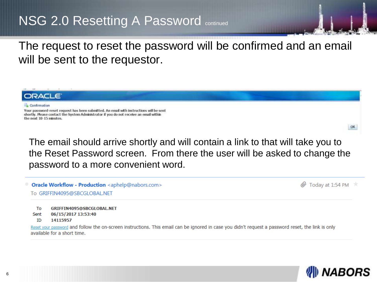## NSG 2.0 Resetting A Password continued

The request to reset the password will be confirmed and an email will be sent to the requestor.



The email should arrive shortly and will contain a link to that will take you to the Reset Password screen. From there the user will be asked to change the password to a more convenient word.

|  |  | Oracle Workflow - Production <aphelp@nabors.com></aphelp@nabors.com> |
|--|--|----------------------------------------------------------------------|
|--|--|----------------------------------------------------------------------|

 $\mathscr{D}$  Today at 1:54 PM  $\quad \star$ 

To GRIFFIN4095@SBCGLOBAL.NET

To GRIFFIN4095@SBCGLOBAL.NET

06/15/2017 13:53:40 Sent

14115957 ID.

Reset your password and follow the on-screen instructions. This email can be ignored in case you didn't request a password reset, the link is only available for a short time.